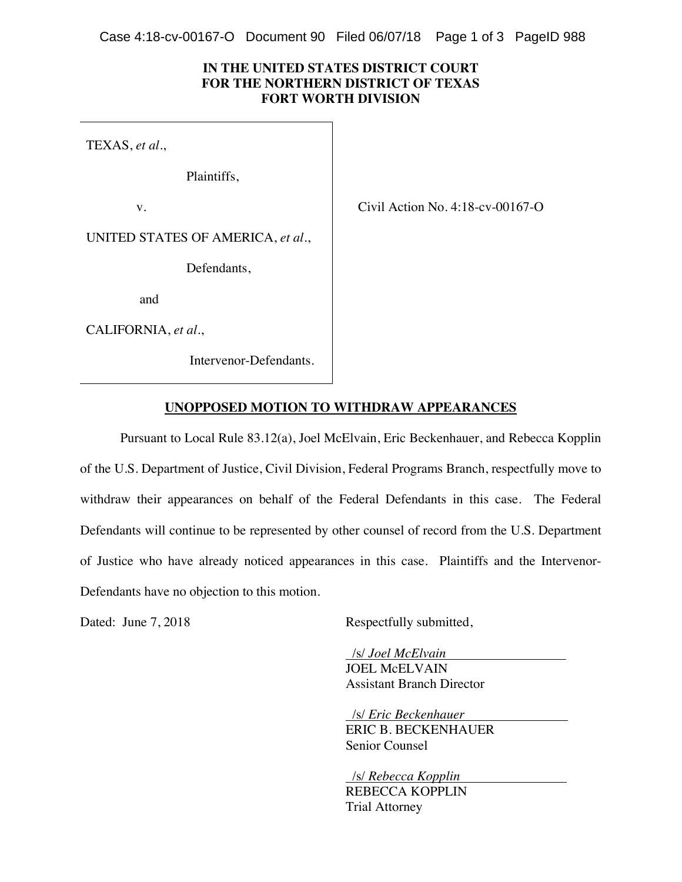Case 4:18-cv-00167-O Document 90 Filed 06/07/18 Page 1 of 3 PageID 988

## **IN THE UNITED STATES DISTRICT COURT FOR THE NORTHERN DISTRICT OF TEXAS FORT WORTH DIVISION**

TEXAS, *et al.*,

Plaintiffs,

v. Civil Action No. 4:18-cv-00167-O

UNITED STATES OF AMERICA, *et al.*,

Defendants,

and

CALIFORNIA, *et al.*,

Intervenor-Defendants.

## **UNOPPOSED MOTION TO WITHDRAW APPEARANCES**

Pursuant to Local Rule 83.12(a), Joel McElvain, Eric Beckenhauer, and Rebecca Kopplin of the U.S. Department of Justice, Civil Division, Federal Programs Branch, respectfully move to withdraw their appearances on behalf of the Federal Defendants in this case. The Federal Defendants will continue to be represented by other counsel of record from the U.S. Department of Justice who have already noticed appearances in this case. Plaintiffs and the Intervenor-Defendants have no objection to this motion.

Dated: June 7, 2018 Respectfully submitted,

 /s/ *Joel McElvain .*  JOEL McELVAIN Assistant Branch Director

 /s/ *Eric Beckenhauer .*  ERIC B. BECKENHAUER Senior Counsel

 /s/ *Rebecca Kopplin .*  REBECCA KOPPLIN Trial Attorney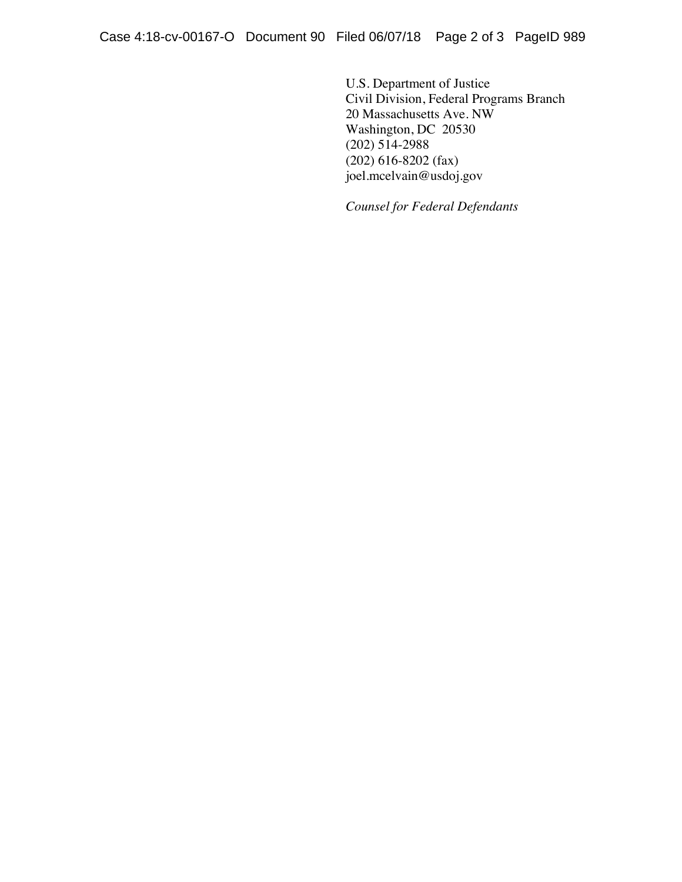U.S. Department of Justice Civil Division, Federal Programs Branch 20 Massachusetts Ave. NW Washington, DC 20530 (202) 514-2988 (202) 616-8202 (fax) joel.mcelvain@usdoj.gov

*Counsel for Federal Defendants*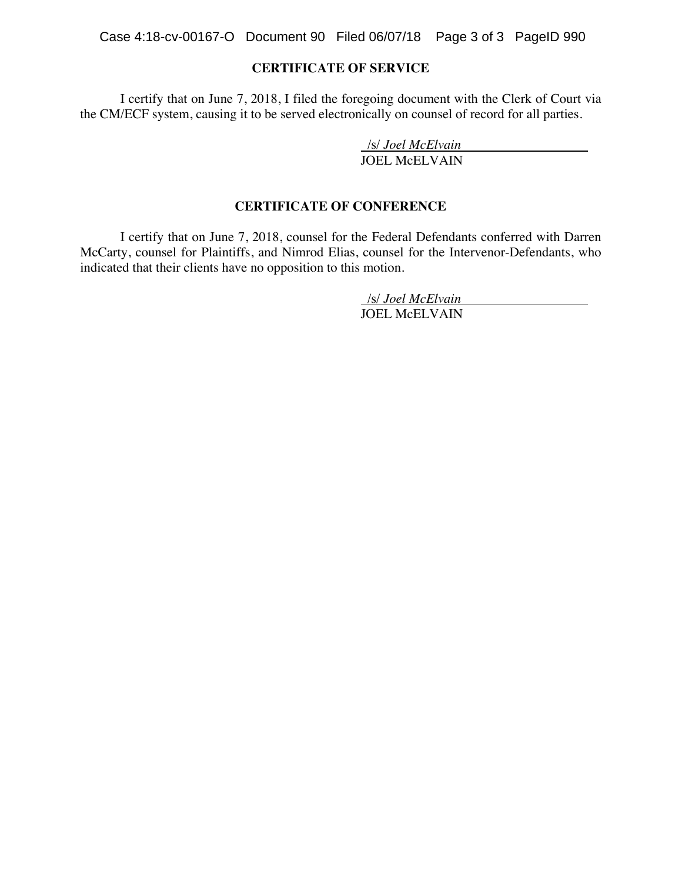Case 4:18-cv-00167-O Document 90 Filed 06/07/18 Page 3 of 3 PageID 990

## **CERTIFICATE OF SERVICE**

 I certify that on June 7, 2018, I filed the foregoing document with the Clerk of Court via the CM/ECF system, causing it to be served electronically on counsel of record for all parties.

/s/ *Joel McElvain .* 

JOEL McELVAIN

#### **CERTIFICATE OF CONFERENCE**

 I certify that on June 7, 2018, counsel for the Federal Defendants conferred with Darren McCarty, counsel for Plaintiffs, and Nimrod Elias, counsel for the Intervenor-Defendants, who indicated that their clients have no opposition to this motion.

> /s/ *Joel McElvain .*  JOEL McELVAIN